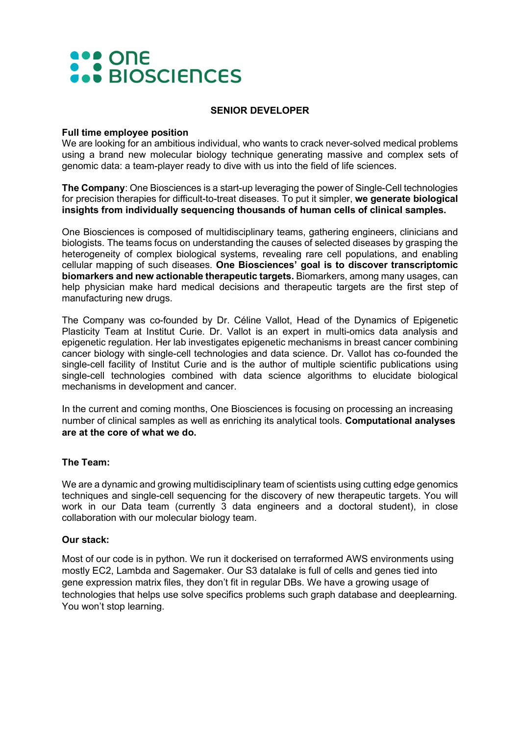## **AND ONE**<br> **AND BIOSCIENCES**

## SENIOR DEVELOPER

#### Full time employee position

We are looking for an ambitious individual, who wants to crack never-solved medical problems using a brand new molecular biology technique generating massive and complex sets of genomic data: a team-player ready to dive with us into the field of life sciences.

The Company: One Biosciences is a start-up leveraging the power of Single-Cell technologies for precision therapies for difficult-to-treat diseases. To put it simpler, we generate biological insights from individually sequencing thousands of human cells of clinical samples.

One Biosciences is composed of multidisciplinary teams, gathering engineers, clinicians and biologists. The teams focus on understanding the causes of selected diseases by grasping the heterogeneity of complex biological systems, revealing rare cell populations, and enabling cellular mapping of such diseases. One Biosciences' goal is to discover transcriptomic biomarkers and new actionable therapeutic targets. Biomarkers, among many usages, can help physician make hard medical decisions and therapeutic targets are the first step of manufacturing new drugs.

The Company was co-founded by Dr. Céline Vallot, Head of the Dynamics of Epigenetic Plasticity Team at Institut Curie. Dr. Vallot is an expert in multi-omics data analysis and epigenetic regulation. Her lab investigates epigenetic mechanisms in breast cancer combining cancer biology with single-cell technologies and data science. Dr. Vallot has co-founded the single-cell facility of Institut Curie and is the author of multiple scientific publications using single-cell technologies combined with data science algorithms to elucidate biological mechanisms in development and cancer.

In the current and coming months, One Biosciences is focusing on processing an increasing number of clinical samples as well as enriching its analytical tools. Computational analyses are at the core of what we do.

## The Team:

We are a dynamic and growing multidisciplinary team of scientists using cutting edge genomics techniques and single-cell sequencing for the discovery of new therapeutic targets. You will work in our Data team (currently 3 data engineers and a doctoral student), in close collaboration with our molecular biology team.

## Our stack:

Most of our code is in python. We run it dockerised on terraformed AWS environments using mostly EC2, Lambda and Sagemaker. Our S3 datalake is full of cells and genes tied into gene expression matrix files, they don't fit in regular DBs. We have a growing usage of technologies that helps use solve specifics problems such graph database and deeplearning. You won't stop learning.